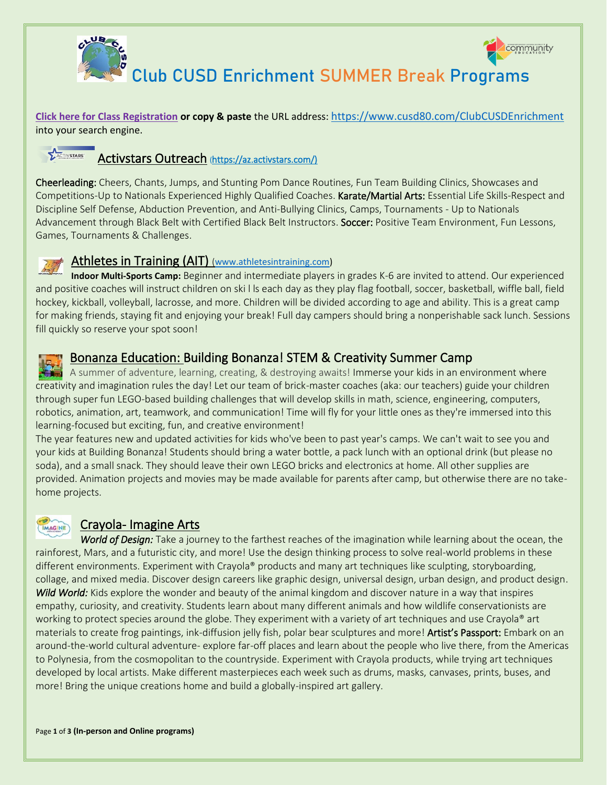



Club CUSD Enrichment SUMMER Break Programs

**[Click here for Class Registration](https://cusd80.ce.eleyo.com/search?redirected_yet=true&sf%5bcategory%5d=73) or copy & paste** the URL address: <https://www.cusd80.com/ClubCUSDEnrichment> into your search engine.

## Activstars Outreach (https://az.activstars.com/)

Cheerleading: Cheers, Chants, Jumps, and Stunting Pom Dance Routines, Fun Team Building Clinics, Showcases and Competitions-Up to Nationals Experienced Highly Qualified Coaches. Karate/Martial Arts: Essential Life Skills-Respect and Discipline Self Defense, Abduction Prevention, and Anti-Bullying Clinics, Camps, Tournaments - Up to Nationals Advancement through Black Belt with Certified Black Belt Instructors. Soccer: Positive Team Environment, Fun Lessons, Games, Tournaments & Challenges.

#### Athletes in Training (AIT) ([www.athletesintraining.com\)](http://www.athletesintraining.com/)

**Indoor Multi-Sports Camp:** Beginner and intermediate players in grades K-6 are invited to attend. Our experienced and positive coaches will instruct children on ski l ls each day as they play flag football, soccer, basketball, wiffle ball, field hockey, kickball, volleyball, lacrosse, and more. Children will be divided according to age and ability. This is a great camp for making friends, staying fit and enjoying your break! Full day campers should bring a nonperishable sack lunch. Sessions fill quickly so reserve your spot soon!

### Bonanza Education: Building Bonanza! STEM & Creativity Summer Camp

A summer of adventure, learning, creating, & destroying awaits! Immerse your kids in an environment where creativity and imagination rules the day! Let our team of brick-master coaches (aka: our teachers) guide your children through super fun LEGO-based building challenges that will develop skills in math, science, engineering, computers, robotics, animation, art, teamwork, and communication! Time will fly for your little ones as they're immersed into this learning-focused but exciting, fun, and creative environment!

The year features new and updated activities for kids who've been to past year's camps. We can't wait to see you and your kids at Building Bonanza! Students should bring a water bottle, a pack lunch with an optional drink (but please no soda), and a small snack. They should leave their own LEGO bricks and electronics at home. All other supplies are provided. Animation projects and movies may be made available for parents after camp, but otherwise there are no takehome projects.

## IMAGINE

#### Crayola- Imagine Arts

*World of Design:* Take a journey to the farthest reaches of the imagination while learning about the ocean, the rainforest, Mars, and a futuristic city, and more! Use the design thinking process to solve real-world problems in these different environments. Experiment with Crayola® products and many art techniques like sculpting, storyboarding, collage, and mixed media. Discover design careers like graphic design, universal design, urban design, and product design. *Wild World:* Kids explore the wonder and beauty of the animal kingdom and discover nature in a way that inspires empathy, curiosity, and creativity. Students learn about many different animals and how wildlife conservationists are working to protect species around the globe. They experiment with a variety of art techniques and use Crayola® art materials to create frog paintings, ink-diffusion jelly fish, polar bear sculptures and more! Artist's Passport: Embark on an around-the-world cultural adventure- explore far-off places and learn about the people who live there, from the Americas to Polynesia, from the cosmopolitan to the countryside. Experiment with Crayola products, while trying art techniques developed by local artists. Make different masterpieces each week such as drums, masks, canvases, prints, buses, and more! Bring the unique creations home and build a globally-inspired art gallery.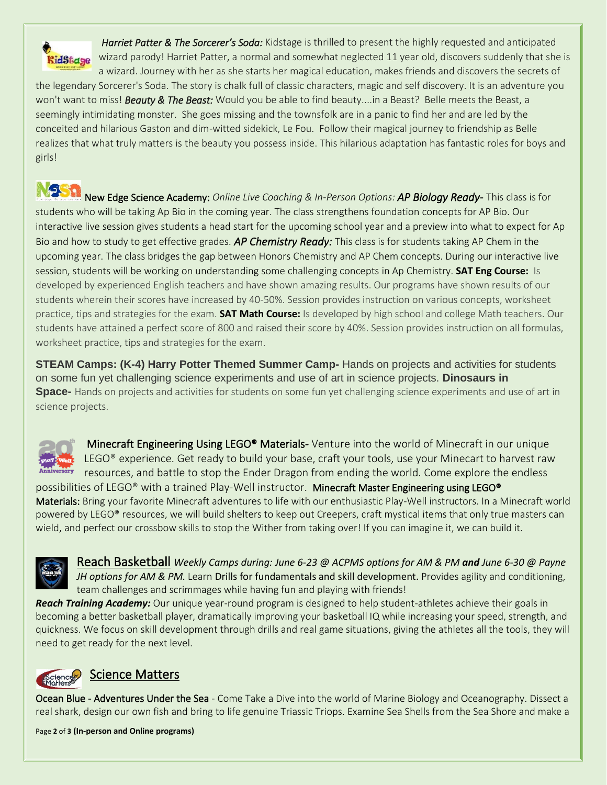

girls!

*Harriet Patter & The Sorcerer's Soda:* Kidstage is thrilled to present the highly requested and anticipated wizard parody! Harriet Patter, a normal and somewhat neglected 11 year old, discovers suddenly that she is a wizard. Journey with her as she starts her magical education, makes friends and discovers the secrets of the legendary Sorcerer's Soda. The story is chalk full of classic characters, magic and self discovery. It is an adventure you won't want to miss! *Beauty & The Beast:* Would you be able to find beauty....in a Beast? Belle meets the Beast, a seemingly intimidating monster. She goes missing and the townsfolk are in a panic to find her and are led by the conceited and hilarious Gaston and dim-witted sidekick, Le Fou. Follow their magical journey to friendship as Belle realizes that what truly matters is the beauty you possess inside. This hilarious adaptation has fantastic roles for boys and

NSSA New Edge Science Academy: *Online Live Coaching & In-Person Options: AP Biology Ready-* This class is for students who will be taking Ap Bio in the coming year. The class strengthens foundation concepts for AP Bio. Our interactive live session gives students a head start for the upcoming school year and a preview into what to expect for Ap Bio and how to study to get effective grades. *AP Chemistry Ready:* This class is for students taking AP Chem in the upcoming year. The class bridges the gap between Honors Chemistry and AP Chem concepts. During our interactive live session, students will be working on understanding some challenging concepts in Ap Chemistry. **SAT Eng Course:** Is developed by experienced English teachers and have shown amazing results. Our programs have shown results of our students wherein their scores have increased by 40-50%. Session provides instruction on various concepts, worksheet practice, tips and strategies for the exam. **SAT Math Course:** Is developed by high school and college Math teachers. Our students have attained a perfect score of 800 and raised their score by 40%. Session provides instruction on all formulas, worksheet practice, tips and strategies for the exam.

**STEAM Camps: (K-4) Harry Potter Themed Summer Camp-** Hands on projects and activities for students on some fun yet challenging science experiments and use of art in science projects. **Dinosaurs in Space-** Hands on projects and activities for students on some fun yet challenging science experiments and use of art in science projects.



Minecraft Engineering Using LEGO<sup>®</sup> Materials-Venture into the world of Minecraft in our unique LEGO<sup>®</sup> experience. Get ready to build your base, craft your tools, use your Minecart to harvest raw resources, and battle to stop the Ender Dragon from ending the world. Come explore the endless

possibilities of LEGO® with a trained Play-Well instructor. Minecraft Master Engineering using LEGO® Materials: Bring your favorite Minecraft adventures to life with our enthusiastic Play-Well instructors. In a Minecraft world powered by LEGO® resources, we will build shelters to keep out Creepers, craft mystical items that only true masters can wield, and perfect our crossbow skills to stop the Wither from taking over! If you can imagine it, we can build it.



Reach Basketball *Weekly Camps during: June 6-23 @ ACPMS options for AM & PM and June 6-30 @ Payne JH options for AM & PM.* Learn Drills for fundamentals and skill development. Provides agility and conditioning, team challenges and scrimmages while having fun and playing with friends!

*Reach Training Academy:* Our unique year-round program is designed to help student-athletes achieve their goals in becoming a better basketball player, dramatically improving your basketball IQ while increasing your speed, strength, and quickness. We focus on skill development through drills and real game situations, giving the athletes all the tools, they will need to get ready for the next level.



# Science Matters

Ocean Blue - Adventures Under the Sea - Come Take a Dive into the world of Marine Biology and Oceanography. Dissect a real shark, design our own fish and bring to life genuine Triassic Triops. Examine Sea Shells from the Sea Shore and make a

Page **2** of **3 (In-person and Online programs)**